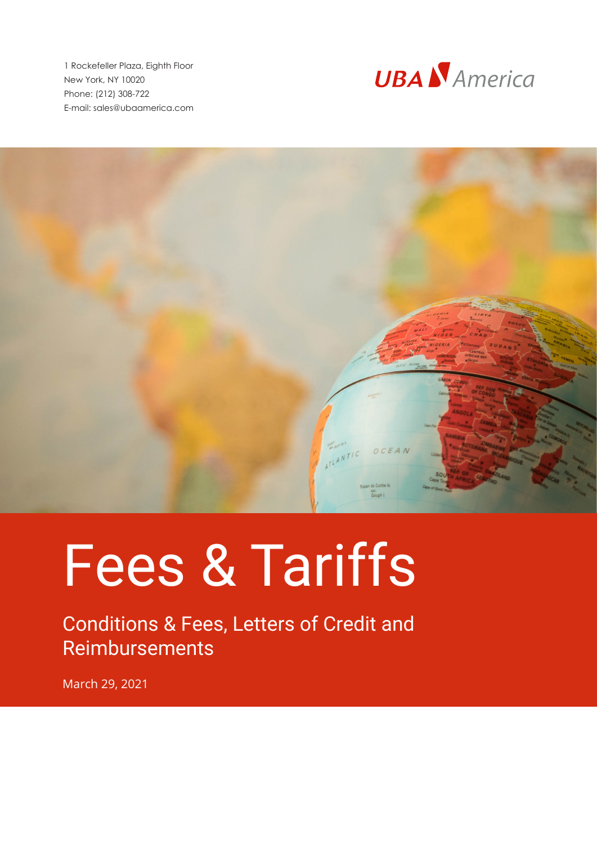1 Rockefeller Plaza, Eighth Floor New York, NY 10020 Phone: (212) 308-722 E-mail: sales@ubaamerica.com





## Fees & Tariffs

Conditions & Fees, Letters of Credit and Reimbursements

March 29, 2021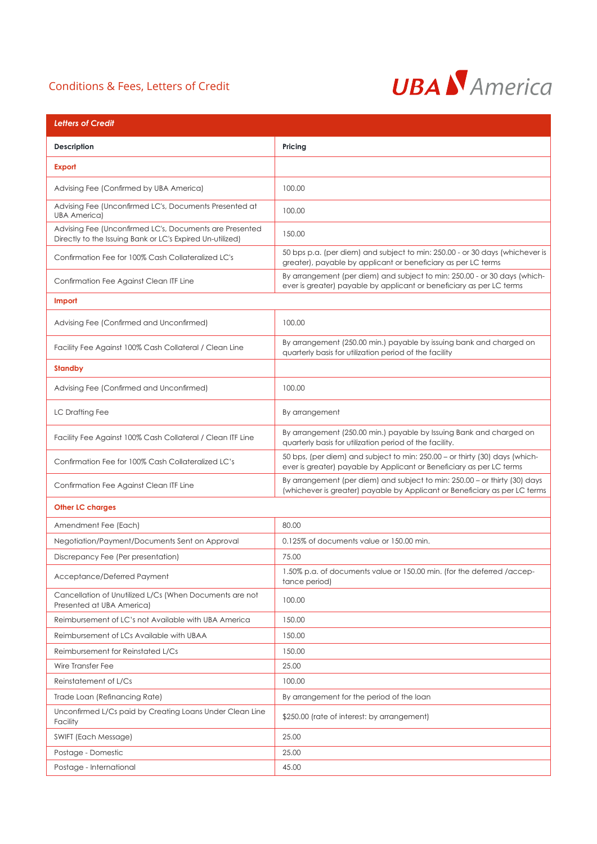## Conditions & Fees, Letters of Credit



| <b>Letters of Credit</b>                                                                                             |                                                                                                                                                          |  |
|----------------------------------------------------------------------------------------------------------------------|----------------------------------------------------------------------------------------------------------------------------------------------------------|--|
| Description                                                                                                          | Pricing                                                                                                                                                  |  |
| <b>Export</b>                                                                                                        |                                                                                                                                                          |  |
| Advising Fee (Confirmed by UBA America)                                                                              | 100.00                                                                                                                                                   |  |
| Advising Fee (Unconfirmed LC's, Documents Presented at<br><b>UBA America)</b>                                        | 100.00                                                                                                                                                   |  |
| Advising Fee (Unconfirmed LC's, Documents are Presented<br>Directly to the Issuing Bank or LC's Expired Un-utilized) | 150.00                                                                                                                                                   |  |
| Confirmation Fee for 100% Cash Collateralized LC's                                                                   | 50 bps p.a. (per diem) and subject to min: 250.00 - or 30 days (whichever is<br>greater), payable by applicant or beneficiary as per LC terms            |  |
| Confirmation Fee Against Clean ITF Line                                                                              | By arrangement (per diem) and subject to min: 250.00 - or 30 days (which-<br>ever is greater) payable by applicant or beneficiary as per LC terms        |  |
| Import                                                                                                               |                                                                                                                                                          |  |
| Advising Fee (Confirmed and Unconfirmed)                                                                             | 100.00                                                                                                                                                   |  |
| Facility Fee Against 100% Cash Collateral / Clean Line                                                               | By arrangement (250.00 min.) payable by issuing bank and charged on<br>quarterly basis for utilization period of the facility                            |  |
| <b>Standby</b>                                                                                                       |                                                                                                                                                          |  |
| Advising Fee (Confirmed and Unconfirmed)                                                                             | 100.00                                                                                                                                                   |  |
| LC Drafting Fee                                                                                                      | By arrangement                                                                                                                                           |  |
| Facility Fee Against 100% Cash Collateral / Clean ITF Line                                                           | By arrangement (250.00 min.) payable by Issuing Bank and charged on<br>quarterly basis for utilization period of the facility.                           |  |
| Confirmation Fee for 100% Cash Collateralized LC's                                                                   | 50 bps, (per diem) and subject to min: 250.00 - or thirty (30) days (which-<br>ever is greater) payable by Applicant or Beneficiary as per LC terms      |  |
| Confirmation Fee Against Clean ITF Line                                                                              | By arrangement (per diem) and subject to min: 250.00 - or thirty (30) days<br>(whichever is greater) payable by Applicant or Beneficiary as per LC terms |  |
| <b>Other LC charges</b>                                                                                              |                                                                                                                                                          |  |
| Amendment Fee (Each)                                                                                                 | 80.00                                                                                                                                                    |  |
| Negotiation/Payment/Documents Sent on Approval                                                                       | 0.125% of documents value or 150.00 min.                                                                                                                 |  |
| Discrepancy Fee (Per presentation)                                                                                   | 75.00                                                                                                                                                    |  |
| Acceptance/Deferred Payment                                                                                          | 1.50% p.a. of documents value or 150.00 min. (for the deferred / accep-<br>tance period)                                                                 |  |
| Cancellation of Unutilized L/Cs (When Documents are not<br>Presented at UBA America)                                 | 100.00                                                                                                                                                   |  |
| Reimbursement of LC's not Available with UBA America                                                                 | 150.00                                                                                                                                                   |  |
| Reimbursement of LCs Available with UBAA                                                                             | 150.00                                                                                                                                                   |  |
| Reimbursement for Reinstated L/Cs                                                                                    | 150.00                                                                                                                                                   |  |
| Wire Transfer Fee                                                                                                    | 25.00                                                                                                                                                    |  |
| Reinstatement of L/Cs                                                                                                | 100.00                                                                                                                                                   |  |
| Trade Loan (Refinancing Rate)                                                                                        | By arrangement for the period of the loan                                                                                                                |  |
| Unconfirmed L/Cs paid by Creating Loans Under Clean Line<br>Facility                                                 | \$250.00 (rate of interest: by arrangement)                                                                                                              |  |
| SWIFT (Each Message)                                                                                                 | 25.00                                                                                                                                                    |  |
| Postage - Domestic                                                                                                   | 25.00                                                                                                                                                    |  |
| Postage - International                                                                                              | 45.00                                                                                                                                                    |  |